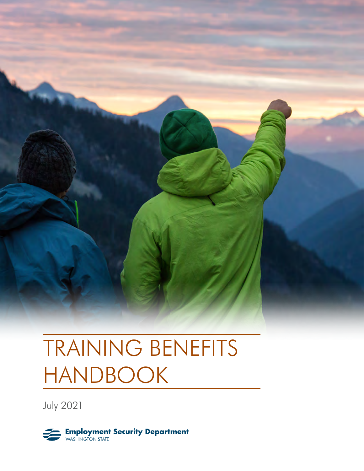

# TRAINING BENEFITS HANDBOOK

July 2021

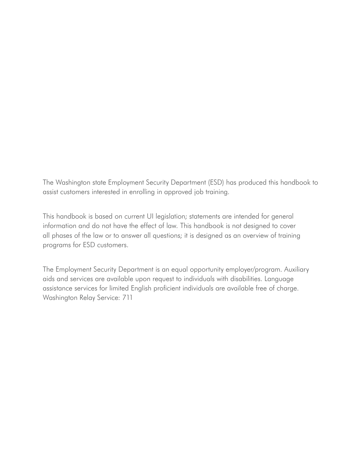The Washington state Employment Security Department (ESD) has produced this handbook to assist customers interested in enrolling in approved job training.

This handbook is based on current UI legislation; statements are intended for general information and do not have the effect of law. This handbook is not designed to cover all phases of the law or to answer all questions; it is designed as an overview of training programs for ESD customers.

The Employment Security Department is an equal opportunity employer/program. Auxiliary aids and services are available upon request to individuals with disabilities. Language assistance services for limited English proficient individuals are available free of charge. Washington Relay Service: 711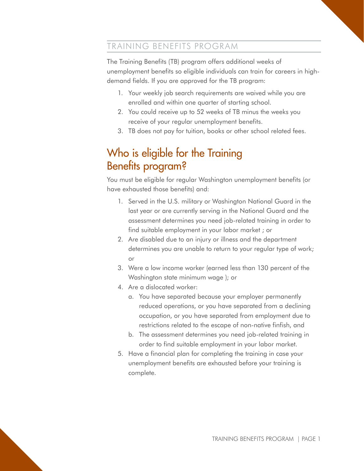#### TRAINING BENEFITS PROGRAM

The Training Benefits (TB) program offers additional weeks of unemployment benefits so eligible individuals can train for careers in highdemand fields. If you are approved for the TB program:

- 1. Your weekly job search requirements are waived while you are enrolled and within one quarter of starting school.
- 2. You could receive up to 52 weeks of TB minus the weeks you receive of your regular unemployment benefits.
- 3. TB does not pay for tuition, books or other school related fees.

## Who is eligible for the Training Benefits program?

You must be eligible for regular Washington unemployment benefits (or have exhausted those benefits) and:

- 1. Served in the U.S. military or Washington National Guard in the last year or are currently serving in the National Guard and the assessment determines you need job-related training in order to find suitable employment in your labor market ; or
- 2. Are disabled due to an injury or illness and the department determines you are unable to return to your regular type of work; or
- 3. Were a low income worker (earned less than 130 percent of the Washington state minimum wage ); or
- 4. Are a dislocated worker:
	- a. You have separated because your employer permanently reduced operations, or you have separated from a declining occupation, or you have separated from employment due to restrictions related to the escape of non-native finfish, and
	- b. The assessment determines you need job-related training in order to find suitable employment in your labor market.
- 5. Have a financial plan for completing the training in case your unemployment benefits are exhausted before your training is complete.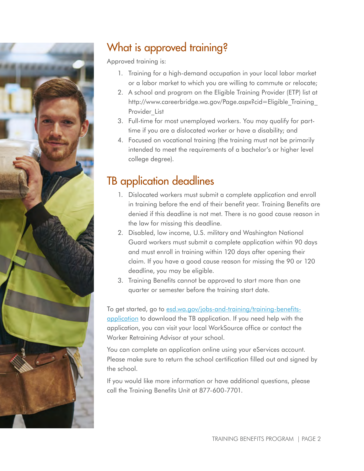

# What is approved training?

Approved training is:

- 1. Training for a high-demand occupation in your local labor market or a labor market to which you are willing to commute or relocate;
- 2. A school and program on the Eligible Training Provider (ETP) list at http://www.careerbridge.wa.gov/Page.aspx?cid=Eligible\_Training\_ Provider List
- 3. Full-time for most unemployed workers. You may qualify for parttime if you are a dislocated worker or have a disability; and
- 4. Focused on vocational training (the training must not be primarily intended to meet the requirements of a bachelor's or higher level college degree).

## TB application deadlines

- 1. Dislocated workers must submit a complete application and enroll in training before the end of their benefit year. Training Benefits are denied if this deadline is not met. There is no good cause reason in the law for missing this deadline.
- 2. Disabled, low income, U.S. military and Washington National Guard workers must submit a complete application within 90 days and must enroll in training within 120 days after opening their claim. If you have a good cause reason for missing the 90 or 120 deadline, you may be eligible.
- 3. Training Benefits cannot be approved to start more than one quarter or semester before the training start date.

To get started, go to [esd.wa.gov/jobs-and-training/training-benefits](https://esd.wa.gov/jobs-and-training/training-benefits-application)[application](https://esd.wa.gov/jobs-and-training/training-benefits-application) to download the TB application. If you need help with the application, you can visit your local WorkSource office or contact the Worker Retraining Advisor at your school.

You can complete an application online using your eServices account. Please make sure to return the school certification filled out and signed by the school.

If you would like more information or have additional questions, please call the Training Benefits Unit at 877-600-7701.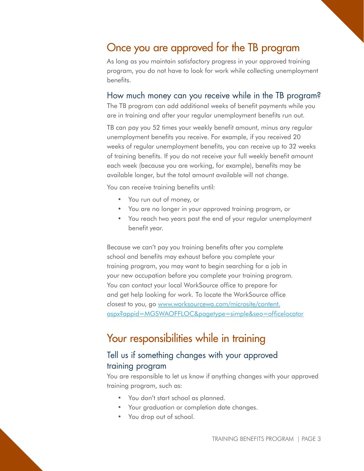## Once you are approved for the TB program

As long as you maintain satisfactory progress in your approved training program, you do not have to look for work while collecting unemployment benefits.

#### How much money can you receive while in the TB program?

The TB program can add additional weeks of benefit payments while you are in training and after your regular unemployment benefits run out.

TB can pay you 52 times your weekly benefit amount, minus any regular unemployment benefits you receive. For example, if you received 20 weeks of regular unemployment benefits, you can receive up to 32 weeks of training benefits. If you do not receive your full weekly benefit amount each week (because you are working, for example), benefits may be available longer, but the total amount available will not change.

You can receive training benefits until:

- You run out of money, or
- You are no longer in your approved training program, or
- You reach two years past the end of your regular unemployment benefit year.

Because we can't pay you training benefits after you complete school and benefits may exhaust before you complete your training program, you may want to begin searching for a job in your new occupation before you complete your training program. You can contact your local WorkSource office to prepare for and get help looking for work. To locate the WorkSource office closest to you, go [www.worksourcewa.com/microsite/content.](https://www.worksourcewa.com/microsite/content.aspx?appid=MGSWAOFFLOC&pagetype=simple&seo=officeloca) [aspx?appid=MGSWAOFFLOC&pagetype=simple&seo=officelocator](https://www.worksourcewa.com/microsite/content.aspx?appid=MGSWAOFFLOC&pagetype=simple&seo=officeloca)

### Your responsibilities while in training

#### Tell us if something changes with your approved training program

You are responsible to let us know if anything changes with your approved training program, such as:

- You don't start school as planned.
- Your graduation or completion date changes.
- You drop out of school.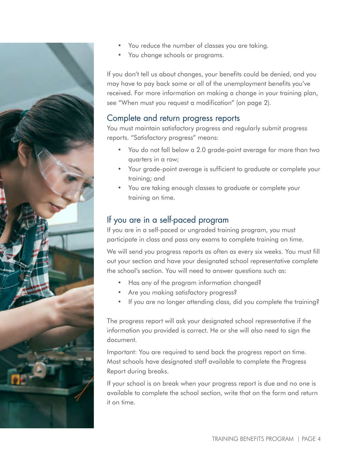

- You reduce the number of classes you are taking.
- You change schools or programs.

If you don't tell us about changes, your benefits could be denied, and you may have to pay back some or all of the unemployment benefits you've received. For more information on making a change in your training plan, see "When must you request a modification" (on page 2).

#### Complete and return progress reports

You must maintain satisfactory progress and regularly submit progress reports. "Satisfactory progress" means:

- You do not fall below a 2.0 grade-point average for more than two quarters in a row;
- Your grade-point average is sufficient to graduate or complete your training; and
- You are taking enough classes to graduate or complete your training on time.

#### If you are in a self-paced program

If you are in a self-paced or ungraded training program, you must participate in class and pass any exams to complete training on time.

We will send you progress reports as often as every six weeks. You must fill out your section and have your designated school representative complete the school's section. You will need to answer questions such as:

- Has any of the program information changed?
- Are you making satisfactory progress?
- If you are no longer attending class, did you complete the training?

The progress report will ask your designated school representative if the information you provided is correct. He or she will also need to sign the document.

Important: You are required to send back the progress report on time. Most schools have designated staff available to complete the Progress Report during breaks.

If your school is on break when your progress report is due and no one is available to complete the school section, write that on the form and return it on time.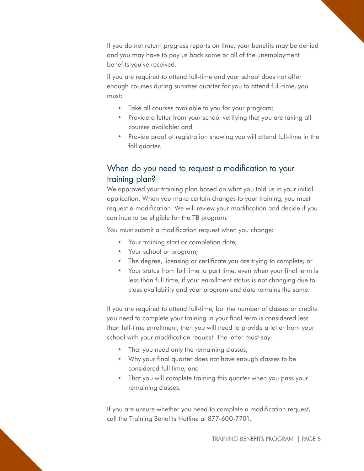If you do not return progress reports on time, your benefits may be denied and you may have to pay us back some or all of the unemployment benefits you've received.

If you are required to attend full-time and your school does not offer enough courses during summer quarter for you to attend full-time, you must:

- Take all courses available to you for your program;
- Provide a letter from your school verifying that you are taking all courses available; and
- Provide proof of registration showing you will attend full-time in the fall quarter.

#### When do you need to request a modification to your training plan?

We approved your training plan based on what you told us in your initial application. When you make certain changes to your training, you must request a modification. We will review your modification and decide if you continue to be eligible for the TB program.

You must submit a modification request when you change:

- Your training start or completion date;
- Your school or program;
- The degree, licensing or certificate you are trying to complete; or
- Your status from full time to part time, even when your final term is less than full time, if your enrollment status is not changing due to class availability and your program end date remains the same.

If you are required to attend full-time, but the number of classes or credits you need to complete your training in your final term is considered less than full-time enrollment, then you will need to provide a letter from your school with your modification request. The letter must say:

- That you need only the remaining classes;
- Why your final quarter does not have enough classes to be considered full time; and
- That you will complete training this quarter when you pass your remaining classes.

If you are unsure whether you need to complete a modification request, call the Training Benefits Hotline at 877-600-7701.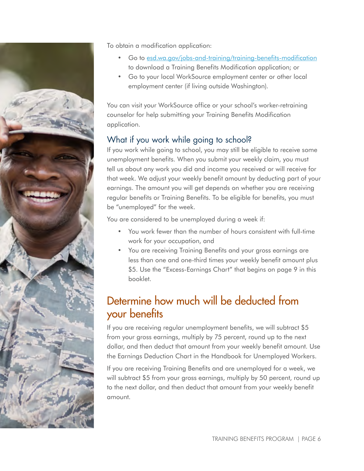

To obtain a modification application:

- Go to [esd.wa.gov/jobs-and-training/training-benefits-modification](https://esd.wa.gov/jobs-and-training/training-benefits-modification) to download a Training Benefits Modification application; or
- Go to your local WorkSource employment center or other local employment center (if living outside Washington).

You can visit your WorkSource office or your school's worker-retraining counselor for help submitting your Training Benefits Modification application.

#### What if you work while going to school?

If you work while going to school, you may still be eligible to receive some unemployment benefits. When you submit your weekly claim, you must tell us about any work you did and income you received or will receive for that week. We adjust your weekly benefit amount by deducting part of your earnings. The amount you will get depends on whether you are receiving regular benefits or Training Benefits. To be eligible for benefits, you must be "unemployed" for the week.

You are considered to be unemployed during a week if:

- You work fewer than the number of hours consistent with full-time work for your occupation, and
- You are receiving Training Benefits and your gross earnings are less than one and one-third times your weekly benefit amount plus \$5. Use the "Excess-Earnings Chart" that begins on page 9 in this booklet.

## Determine how much will be deducted from your benefits

If you are receiving regular unemployment benefits, we will subtract \$5 from your gross earnings, multiply by 75 percent, round up to the next dollar, and then deduct that amount from your weekly benefit amount. Use the Earnings Deduction Chart in the Handbook for Unemployed Workers.

If you are receiving Training Benefits and are unemployed for a week, we will subtract \$5 from your gross earnings, multiply by 50 percent, round up to the next dollar, and then deduct that amount from your weekly benefit amount.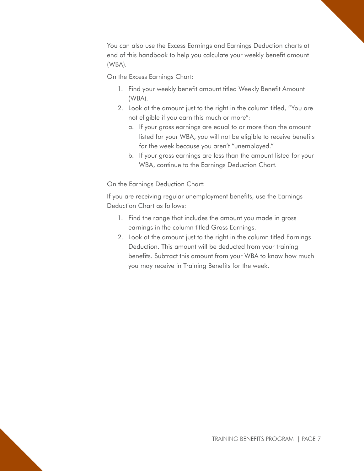You can also use the Excess Earnings and Earnings Deduction charts at end of this handbook to help you calculate your weekly benefit amount (WBA).

On the Excess Earnings Chart:

- 1. Find your weekly benefit amount titled Weekly Benefit Amount (WBA).
- 2. Look at the amount just to the right in the column titled, "You are not eligible if you earn this much or more":
	- a. If your gross earnings are equal to or more than the amount listed for your WBA, you will not be eligible to receive benefits for the week because you aren't "unemployed."
	- b. If your gross earnings are less than the amount listed for your WBA, continue to the Earnings Deduction Chart.

On the Earnings Deduction Chart:

If you are receiving regular unemployment benefits, use the Earnings Deduction Chart as follows:

- 1. Find the range that includes the amount you made in gross earnings in the column titled Gross Earnings.
- 2. Look at the amount just to the right in the column titled Earnings Deduction. This amount will be deducted from your training benefits. Subtract this amount from your WBA to know how much you may receive in Training Benefits for the week.

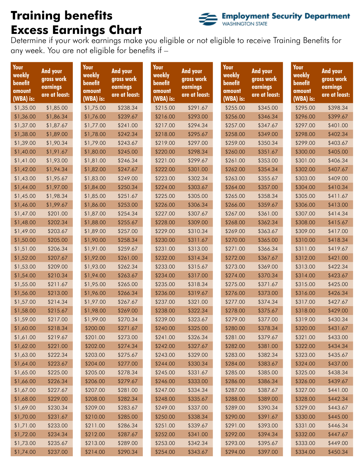# **Training benefits Excess Earnings Chart**



Determine if your work earnings make you eligible or not eligible to receive Training Benefits for any week. You are not eligible for benefits if –

| Your<br>weekly<br>benefit<br>amount<br>(WBA) is: | And your<br>gross work<br>earnings<br>are at least: | Your<br>weekly<br>benefit<br>amount<br>(WBA) is: | <b>And your</b><br>gross work<br>earnings<br>are at least: | Your<br>weekly<br>benefit<br>amount<br>(WBA) is: | And your<br>gross work<br>earnings<br>are at least: | Your<br>weekly<br>benefit<br>amount<br>(WBA) is: | <b>And your</b><br>gross work<br>earnings<br>are at least: | Your<br>weekly<br>benefit<br>amount<br>(WBA) is: | And your<br>gross work<br>earnings<br>are at least: |
|--------------------------------------------------|-----------------------------------------------------|--------------------------------------------------|------------------------------------------------------------|--------------------------------------------------|-----------------------------------------------------|--------------------------------------------------|------------------------------------------------------------|--------------------------------------------------|-----------------------------------------------------|
| \$1,35.00                                        | \$1,85.00                                           | \$1,75.00                                        | \$238.34                                                   | \$215.00                                         | \$291.67                                            | \$255.00                                         | \$345.00                                                   | \$295.00                                         | \$398.34                                            |
| \$1,36.00                                        | \$1,86.34                                           | \$1,76.00                                        | \$239.67                                                   | \$216.00                                         | \$293.00                                            | \$256.00                                         | \$346.34                                                   | \$296.00                                         | \$399.67                                            |
| \$1,37.00                                        | \$1,87.67                                           | \$1,77.00                                        | \$241.00                                                   | \$217.00                                         | \$294.34                                            | \$257.00                                         | \$347.67                                                   | \$297.00                                         | \$401.00                                            |
| \$1,38.00                                        | \$1,89.00                                           | \$1,78.00                                        | \$242.34                                                   | \$218.00                                         | \$295.67                                            | \$258.00                                         | \$349.00                                                   | \$298.00                                         | \$402.34                                            |
| \$1,39.00                                        | \$1,90.34                                           | \$1,79.00                                        | \$243.67                                                   | \$219.00                                         | \$297.00                                            | \$259.00                                         | \$350.34                                                   | \$299.00                                         | \$403.67                                            |
| \$1,40.00                                        | \$1,91.67                                           | \$1,80.00                                        | \$245.00                                                   | \$220.00                                         | \$298.34                                            | \$260.00                                         | \$351.67                                                   | \$300.00                                         | \$405.00                                            |
| \$1,41.00                                        | \$1,93.00                                           | \$1,81.00                                        | \$246.34                                                   | \$221.00                                         | \$299.67                                            | \$261.00                                         | \$353.00                                                   | \$301.00                                         | \$406.34                                            |
| \$1,42.00                                        | \$1,94.34                                           | \$1,82.00                                        | \$247.67                                                   | \$222.00                                         | \$301.00                                            | \$262.00                                         | \$354.34                                                   | \$302.00                                         | \$407.67                                            |
| \$1,43.00                                        | \$1,95.67                                           | \$1,83.00                                        | \$249.00                                                   | \$223.00                                         | \$302.34                                            | \$263.00                                         | \$355.67                                                   | \$303.00                                         | \$409.00                                            |
| \$1,44.00                                        | \$1,97.00                                           | \$1,84.00                                        | \$250.34                                                   | \$224.00                                         | \$303.67                                            | \$264.00                                         | \$357.00                                                   | \$304.00                                         | \$410.34                                            |
| \$1,45.00                                        | \$1,98.34                                           | \$1,85.00                                        | \$251.67                                                   | \$225.00                                         | \$305.00                                            | \$265.00                                         | \$358.34                                                   | \$305.00                                         | \$411.67                                            |
| \$1,46.00                                        | \$1,99.67                                           | \$1,86.00                                        | \$253.00                                                   | \$226.00                                         | \$306.34                                            | \$266.00                                         | \$359.67                                                   | \$306.00                                         | \$413.00                                            |
| \$1,47.00                                        | \$201.00                                            | \$1,87.00                                        | \$254.34                                                   | \$227.00                                         | \$307.67                                            | \$267.00                                         | \$361.00                                                   | \$307.00                                         | \$414.34                                            |
| \$1,48.00                                        | \$202.34                                            | \$1,88.00                                        | \$255.67                                                   | \$228.00                                         | \$309.00                                            | \$268.00                                         | \$362.34                                                   | \$308.00                                         | \$415.67                                            |
| \$1,49.00                                        | \$203.67                                            | \$1,89.00                                        | \$257.00                                                   | \$229.00                                         | \$310.34                                            | \$269.00                                         | \$363.67                                                   | \$309.00                                         | \$417.00                                            |
| \$1,50.00                                        | \$205.00                                            | \$1,90.00                                        | \$258.34                                                   | \$230.00                                         | \$311.67                                            | \$270.00                                         | \$365.00                                                   | \$310.00                                         | \$418.34                                            |
| \$1,51.00                                        | \$206.34                                            | \$1,91.00                                        | \$259.67                                                   | \$231.00                                         | \$313.00                                            | \$271.00                                         | \$366.34                                                   | \$311.00                                         | \$419.67                                            |
| \$1,52.00                                        | \$207.67                                            | \$1,92.00                                        | \$261.00                                                   | \$232.00                                         | \$314.34                                            | \$272.00                                         | \$367.67                                                   | \$312.00                                         | \$421.00                                            |
| \$1,53.00                                        | \$209.00                                            | \$1,93.00                                        | \$262.34                                                   | \$233.00                                         | \$315.67                                            | \$273.00                                         | \$369.00                                                   | \$313.00                                         | \$422.34                                            |
| \$1,54.00                                        | \$210.34                                            | \$1,94.00                                        | \$263.67                                                   | \$234.00                                         | \$317.00                                            | \$274.00                                         | \$370.34                                                   | \$314.00                                         | \$423.67                                            |
| \$1,55.00                                        | \$211.67                                            | \$1,95.00                                        | \$265.00                                                   | \$235.00                                         | \$318.34                                            | \$275.00                                         | \$371.67                                                   | \$315.00                                         | \$425.00                                            |
| \$1,56.00                                        | \$213.00                                            | \$1,96.00                                        | \$266.34                                                   | \$236.00                                         | \$319.67                                            | \$276.00                                         | \$373.00                                                   | \$316.00                                         | \$426.34                                            |
| \$1,57.00                                        | \$214.34                                            | \$1,97.00                                        | \$267.67                                                   | \$237.00                                         | \$321.00                                            | \$277.00                                         | \$374.34                                                   | \$317.00                                         | \$427.67                                            |
| \$1,58.00                                        | \$215.67                                            | \$1,98.00                                        | \$269.00                                                   | \$238.00                                         | \$322.34                                            | \$278.00                                         | \$375.67                                                   | \$318.00                                         | \$429.00                                            |
| \$1,59.00                                        | \$217.00                                            | \$1,99.00                                        | \$270.34                                                   | \$239.00                                         | \$323.67                                            | \$279.00                                         | \$377.00                                                   | \$319.00                                         | \$430.34                                            |
| \$1,60.00                                        | \$218.34                                            | \$200.00                                         | \$271.67                                                   | \$240.00                                         | \$325.00                                            | \$280.00                                         | \$378.34                                                   | \$320.00                                         | \$431.67                                            |
| \$1,61.00                                        | \$219.67                                            | \$201.00                                         | \$273.00                                                   | \$241.00                                         | \$326.34                                            | \$281.00                                         | \$379.67                                                   | \$321.00                                         | \$433.00                                            |
| \$1,62.00                                        | \$221.00                                            | \$202.00                                         | \$274.34                                                   | \$242.00                                         | \$327.67                                            | \$282.00                                         | \$381.00                                                   | \$322.00                                         | \$434.34                                            |
| \$1,63.00                                        | \$222.34                                            | \$203.00                                         | \$275.67                                                   | \$243.00                                         | \$329.00                                            | \$283.00                                         | \$382.34                                                   | \$323.00                                         | \$435.67                                            |
| \$1,64.00                                        | \$223.67                                            | \$204.00                                         | \$277.00                                                   | \$244.00                                         | \$330.34                                            | \$284.00                                         | \$383.67                                                   | \$324.00                                         | \$437.00                                            |
| \$1,65.00                                        | \$225.00                                            | \$205.00                                         | \$278.34                                                   | \$245.00                                         | \$331.67                                            | \$285.00                                         | \$385.00                                                   | \$325.00                                         | \$438.34                                            |
| \$1,66.00                                        | \$226.34                                            | \$206.00                                         | \$279.67                                                   | \$246.00                                         | \$333.00                                            | \$286.00                                         | \$386.34                                                   | \$326.00                                         | \$439.67                                            |
| \$1,67.00                                        | \$227.67                                            | \$207.00                                         | \$281.00                                                   | \$247.00                                         | \$334.34                                            | \$287.00                                         | \$387.67                                                   | \$327.00                                         | \$441.00                                            |
| \$1,68.00                                        | \$229.00                                            | \$208.00                                         | \$282.34                                                   | \$248.00                                         | \$335.67                                            | \$288.00                                         | \$389.00                                                   | \$328.00                                         | \$442.34                                            |
| \$1,69.00                                        | \$230.34                                            | \$209.00                                         | \$283.67                                                   | \$249.00                                         | \$337.00                                            | \$289.00                                         | \$390.34                                                   | \$329.00                                         | \$443.67                                            |
| \$1,70.00                                        | \$231.67                                            | \$210.00                                         | \$285.00                                                   | \$250.00                                         | \$338.34                                            | \$290.00                                         | \$391.67                                                   | \$330.00                                         | \$445.00                                            |
| \$1,71.00                                        | \$233.00                                            | \$211.00                                         | \$286.34                                                   | \$251.00                                         | \$339.67                                            | \$291.00                                         | \$393.00                                                   | \$331.00                                         | \$446.34                                            |
| \$1,72.00                                        | \$234.34                                            | \$212.00                                         | \$287.67                                                   | \$252.00                                         | \$341.00                                            | \$292.00                                         | \$394.34                                                   | \$332.00                                         | \$447.67                                            |
| \$1,73.00                                        | \$235.67                                            | \$213.00                                         | \$289.00                                                   | \$253.00                                         | \$342.34                                            | \$293.00                                         | \$395.67                                                   | \$333.00                                         | \$449.00                                            |
| \$1,74.00                                        | \$237.00                                            | \$214.00                                         | \$290.34                                                   | \$254.00                                         | \$343.67                                            | \$294.00                                         | \$397.00                                                   | \$334.00                                         | \$450.34                                            |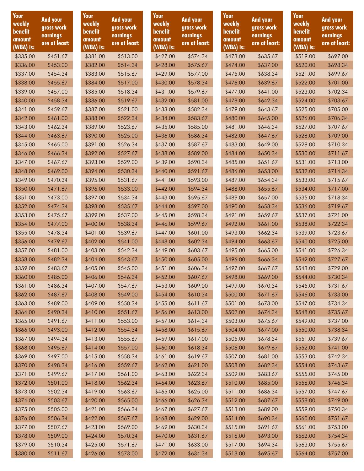| Your<br>weekly<br>benefit<br>amount<br>(WBA) is: | <b>And your</b><br>gross work<br>earnings<br>are at least: | Your<br>weekly<br>benefit<br>amount<br>(WBA) is: | <b>And your</b><br>gross work<br>earnings<br>are at least: | Your<br>weekly<br>benefit<br>amount<br>(WBA) is: | And your<br>gross work<br>earnings<br>are at least: | Your<br>weekly<br>benefit<br>amount<br>(WBA) is: | <b>And your</b><br>gross work<br>earnings<br>are at least: | Your<br>weekly<br>benefit<br>amount<br>(WBA) is: | <b>And your</b><br>gross work<br>earnings<br>are at least: |
|--------------------------------------------------|------------------------------------------------------------|--------------------------------------------------|------------------------------------------------------------|--------------------------------------------------|-----------------------------------------------------|--------------------------------------------------|------------------------------------------------------------|--------------------------------------------------|------------------------------------------------------------|
| \$335.00                                         | \$451.67                                                   | \$381.00                                         | \$513.00                                                   | \$427.00                                         | \$574.34                                            | \$473.00                                         | \$635.67                                                   | \$519.00                                         | \$697.00                                                   |
| \$336.00                                         | \$453.00                                                   | \$382.00                                         | \$514.34                                                   | \$428.00                                         | \$575.67                                            | \$474.00                                         | \$637.00                                                   | \$520.00                                         | \$698.34                                                   |
| \$337.00                                         | \$454.34                                                   | \$383.00                                         | \$515.67                                                   | \$429.00                                         | \$577.00                                            | \$475.00                                         | \$638.34                                                   | \$521.00                                         | \$699.67                                                   |
| \$338.00                                         | \$455.67                                                   | \$384.00                                         | \$517.00                                                   | \$430.00                                         | \$578.34                                            | \$476.00                                         | \$639.67                                                   | \$522.00                                         | \$701.00                                                   |
| \$339.00                                         | \$457.00                                                   | \$385.00                                         | \$518.34                                                   | \$431.00                                         | \$579.67                                            | \$477.00                                         | \$641.00                                                   | \$523.00                                         | \$702.34                                                   |
| \$340.00                                         | \$458.34                                                   | \$386.00                                         | \$519.67                                                   | \$432.00                                         | \$581.00                                            | \$478.00                                         | \$642.34                                                   | \$524.00                                         | \$703.67                                                   |
| \$341.00                                         | \$459.67                                                   | \$387.00                                         | \$521.00                                                   | \$433.00                                         | \$582.34                                            | \$479.00                                         | \$643.67                                                   | \$525.00                                         | \$705.00                                                   |
| \$342.00                                         | \$461.00                                                   | \$388.00                                         | \$522.34                                                   | \$434.00                                         | \$583.67                                            | \$480.00                                         | \$645.00                                                   | \$526.00                                         | \$706.34                                                   |
| \$343.00                                         | \$462.34                                                   | \$389.00                                         | \$523.67                                                   | \$435.00                                         | \$585.00                                            | \$481.00                                         | \$646.34                                                   | \$527.00                                         | \$707.67                                                   |
| \$344.00                                         | \$463.67                                                   | \$390.00                                         | \$525.00                                                   | \$436.00                                         | \$586.34                                            | \$482.00                                         | \$647.67                                                   | \$528.00                                         | \$709.00                                                   |
| \$345.00                                         | \$465.00                                                   | \$391.00                                         | \$526.34                                                   | \$437.00                                         | \$587.67                                            | \$483.00                                         | \$649.00                                                   | \$529.00                                         | \$710.34                                                   |
| \$346.00                                         | \$466.34                                                   | \$392.00                                         | \$527.67                                                   | \$438.00                                         | \$589.00                                            | \$484.00                                         | \$650.34                                                   | \$530.00                                         | \$711.67                                                   |
| \$347.00                                         | \$467.67                                                   | \$393.00                                         | \$529.00                                                   | \$439.00                                         | \$590.34                                            | \$485.00                                         | \$651.67                                                   | \$531.00                                         | \$713.00                                                   |
| \$348.00                                         | \$469.00                                                   | \$394.00                                         | \$530.34                                                   | \$440.00                                         | \$591.67                                            | \$486.00                                         | \$653.00                                                   | \$532.00                                         | \$714.34                                                   |
| \$349.00                                         | \$470.34                                                   | \$395.00                                         | \$531.67                                                   | \$441.00                                         | \$593.00                                            | \$487.00                                         | \$654.34                                                   | \$533.00                                         | \$715.67                                                   |
| \$350.00                                         | \$471.67                                                   | \$396.00                                         | \$533.00                                                   | \$442.00                                         | \$594.34                                            | \$488.00                                         | \$655.67                                                   | \$534.00                                         | \$717.00                                                   |
| \$351.00                                         | \$473.00                                                   | \$397.00                                         | \$534.34                                                   | \$443.00                                         | \$595.67                                            | \$489.00                                         | \$657.00                                                   | \$535.00                                         | \$718.34                                                   |
| \$352.00                                         | \$474.34                                                   | \$398.00                                         | \$535.67                                                   | \$444.00                                         | \$597.00                                            | \$490.00                                         | \$658.34                                                   | \$536.00                                         | \$719.67                                                   |
| \$353.00                                         | \$475.67                                                   | \$399.00                                         | \$537.00                                                   | \$445.00                                         | \$598.34                                            | \$491.00                                         | \$659.67                                                   | \$537.00                                         | \$721.00                                                   |
| \$354.00                                         | \$477.00                                                   | \$400.00                                         | \$538.34                                                   | \$446.00                                         | \$599.67                                            | \$492.00                                         | \$661.00                                                   | \$538.00                                         | \$722.34                                                   |
| \$355.00                                         | \$478.34                                                   | \$401.00                                         | \$539.67                                                   | \$447.00                                         | \$601.00                                            | \$493.00                                         | \$662.34                                                   | \$539.00                                         | \$723.67                                                   |
| \$356.00                                         | \$479.67                                                   | \$402.00                                         | \$541.00                                                   | \$448.00                                         | \$602.34                                            | \$494.00                                         | \$663.67                                                   | \$540.00                                         | \$725.00                                                   |
| \$357.00                                         | \$481.00                                                   | \$403.00                                         | \$542.34                                                   | \$449.00                                         | \$603.67                                            | \$495.00                                         | \$665.00                                                   | \$541.00                                         | \$726.34                                                   |
| \$358.00                                         | \$482.34                                                   | \$404.00                                         | \$543.67                                                   | \$450.00                                         | \$605.00                                            | \$496.00                                         | \$666.34                                                   | \$542.00                                         | \$727.67                                                   |
| \$359.00                                         | \$483.67                                                   | \$405.00                                         | \$545.00                                                   | \$451.00                                         | \$606.34                                            | \$497.00                                         | \$667.67                                                   | \$543.00                                         | \$729.00                                                   |
| \$360.00                                         | \$485.00                                                   | \$406.00                                         | \$546.34                                                   | \$452.00                                         | \$607.67                                            | \$498.00                                         | \$669.00                                                   | \$544.00                                         | \$730.34                                                   |
| \$361.00                                         | \$486.34                                                   | \$407.00                                         | \$547.67                                                   | \$453.00                                         | \$609.00                                            | \$499.00                                         | \$670.34                                                   | \$545.00                                         | \$731.67                                                   |
| \$362.00                                         | \$487.67                                                   | \$408.00                                         | \$549.00                                                   | \$454.00                                         | \$610.34                                            | \$500.00                                         | \$671.67                                                   | \$546.00                                         | \$733.00                                                   |
| \$363.00                                         | \$489.00                                                   | \$409.00                                         | \$550.34                                                   | \$455.00                                         | \$611.67                                            | \$501.00                                         | \$673.00                                                   | \$547.00                                         | \$734.34                                                   |
| \$364.00                                         | \$490.34                                                   | \$410.00                                         | \$551.67                                                   | \$456.00                                         | \$613.00                                            | \$502.00                                         | \$674.34                                                   | \$548.00                                         | \$735.67                                                   |
| \$365.00                                         | \$491.67                                                   | \$411.00                                         | \$553.00                                                   | \$457.00                                         | \$614.34                                            | \$503.00                                         | \$675.67                                                   | \$549.00                                         | \$737.00                                                   |
| \$366.00                                         | \$493.00                                                   | \$412.00                                         | \$554.34                                                   | \$458.00                                         | \$615.67                                            | \$504.00                                         | \$677.00                                                   | \$550.00                                         | \$738.34                                                   |
| \$367.00                                         | \$494.34                                                   | \$413.00                                         | \$555.67                                                   | \$459.00                                         | \$617.00                                            | \$505.00                                         | \$678.34                                                   | \$551.00                                         | \$739.67                                                   |
| \$368.00                                         | \$495.67                                                   | \$414.00                                         | \$557.00                                                   | \$460.00                                         | \$618.34                                            | \$506.00                                         | \$679.67                                                   | \$552.00                                         | \$741.00                                                   |
| \$369.00                                         | \$497.00                                                   | \$415.00                                         | \$558.34                                                   | \$461.00                                         | \$619.67                                            | \$507.00                                         | \$681.00                                                   | \$553.00                                         | \$742.34                                                   |
| \$370.00                                         | \$498.34                                                   | \$416.00                                         | \$559.67                                                   | \$462.00                                         | \$621.00                                            | \$508.00                                         | \$682.34                                                   | \$554.00                                         | \$743.67                                                   |
| \$371.00                                         | \$499.67                                                   | \$417.00                                         | \$561.00                                                   | \$463.00                                         | \$622.34                                            | \$509.00                                         | \$683.67                                                   | \$555.00                                         | \$745.00                                                   |
| \$372.00                                         | \$501.00                                                   | \$418.00                                         | \$562.34                                                   | \$464.00                                         | \$623.67                                            | \$510.00                                         | \$685.00                                                   | \$556.00                                         | \$746.34                                                   |
| \$373.00                                         | \$502.34                                                   | \$419.00                                         | \$563.67                                                   | \$465.00                                         | \$625.00                                            | \$511.00                                         | \$686.34                                                   | \$557.00                                         | \$747.67                                                   |
| \$374.00                                         | \$503.67                                                   | \$420.00                                         | \$565.00                                                   | \$466.00                                         | \$626.34                                            | \$512.00                                         | \$687.67                                                   | \$558.00                                         | \$749.00                                                   |
| \$375.00                                         | \$505.00                                                   | \$421.00                                         | \$566.34                                                   | \$467.00                                         | \$627.67                                            | \$513.00                                         | \$689.00                                                   | \$559.00                                         | \$750.34                                                   |
| \$376.00                                         | \$506.34                                                   | \$422.00                                         | \$567.67                                                   | \$468.00                                         | \$629.00                                            | \$514.00                                         | \$690.34                                                   | \$560.00                                         | \$751.67                                                   |
| \$377.00                                         | \$507.67                                                   | \$423.00                                         | \$569.00                                                   | \$469.00                                         | \$630.34                                            | \$515.00                                         | \$691.67                                                   | \$561.00                                         | \$753.00                                                   |
| \$378.00                                         | \$509.00                                                   | \$424.00                                         | \$570.34                                                   | \$470.00                                         | \$631.67                                            | \$516.00                                         | \$693.00                                                   | \$562.00                                         | \$754.34                                                   |
| \$379.00                                         | \$510.34                                                   | \$425.00                                         | \$571.67                                                   | \$471.00                                         | \$633.00                                            | \$517.00                                         | \$694.34                                                   | \$563.00                                         | \$755.67                                                   |
| \$380.00                                         | \$511.67                                                   | \$426.00                                         | \$573.00                                                   | \$472.00                                         | \$634.34                                            | \$518.00                                         | \$695.67                                                   | \$564.00                                         | \$757.00                                                   |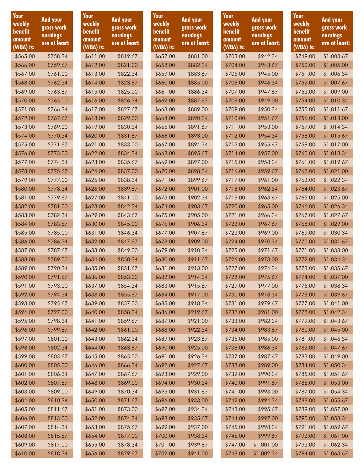| Your<br>weekly<br>benefit<br>amount<br>(WBA) is: | <b>And your</b><br>gross work<br>earnings<br>are at least: | Your<br>weekly<br>benefit<br>amount<br>(WBA) is: | <b>And your</b><br>gross work<br>earnings<br>are at least: | Your<br>weekly<br>benefit<br>amount<br>(WBA) is: | And your<br>gross work<br>earnings<br>are at least: | Your<br>weekly<br>benefit<br>amount<br>(WBA) is: | <b>And your</b><br>gross work<br>earnings<br>are at least: | Your<br>weekly<br>benefit<br>amount<br>(WBA) is: | And your<br>gross work<br>earnings<br>are at least: |
|--------------------------------------------------|------------------------------------------------------------|--------------------------------------------------|------------------------------------------------------------|--------------------------------------------------|-----------------------------------------------------|--------------------------------------------------|------------------------------------------------------------|--------------------------------------------------|-----------------------------------------------------|
| \$565.00                                         | \$758.34                                                   | \$611.00                                         | \$819.67                                                   | \$657.00                                         | \$881.00                                            | \$703.00                                         | \$942.34                                                   | \$749.00                                         | \$1,003.67                                          |
| \$566.00                                         | \$759.67                                                   | \$612.00                                         | \$821.00                                                   | \$658.00                                         | \$882.34                                            | \$704.00                                         | \$943.67                                                   | \$750.00                                         | \$1,005.00                                          |
| \$567.00                                         | \$761.00                                                   | \$613.00                                         | \$822.34                                                   | \$659.00                                         | \$883.67                                            | \$705.00                                         | \$945.00                                                   | \$751.00                                         | \$1,006.34                                          |
| \$568.00                                         | \$762.34                                                   | \$614.00                                         | \$823.67                                                   | \$660.00                                         | \$885.00                                            | \$706.00                                         | \$946.34                                                   | \$752.00                                         | \$1,007.67                                          |
| \$569.00                                         | \$763.67                                                   | \$615.00                                         | \$825.00                                                   | \$661.00                                         | \$886.34                                            | \$707.00                                         | \$947.67                                                   | \$753.00                                         | \$1,009.00                                          |
| \$570.00                                         | \$765.00                                                   | \$616.00                                         | \$826.34                                                   | \$662.00                                         | \$887.67                                            | \$708.00                                         | \$949.00                                                   | \$754.00                                         | \$1,010.34                                          |
| \$571.00                                         | \$766.34                                                   | \$617.00                                         | \$827.67                                                   | \$663.00                                         | \$889.00                                            | \$709.00                                         | \$950.34                                                   | \$755.00                                         | \$1,011.67                                          |
| \$572.00                                         | \$767.67                                                   | \$618.00                                         | \$829.00                                                   | \$664.00                                         | \$890.34                                            | \$710.00                                         | \$951.67                                                   | \$756.00                                         | \$1,013.00                                          |
| \$573.00                                         | \$769.00                                                   | \$619.00                                         | \$830.34                                                   | \$665.00                                         | \$891.67                                            | \$711.00                                         | \$953.00                                                   | \$757.00                                         | \$1,014.34                                          |
| \$574.00                                         | \$770.34                                                   | \$620.00                                         | \$831.67                                                   | \$666.00                                         | \$893.00                                            | \$712.00                                         | \$954.34                                                   | \$758.00                                         | \$1,015.67                                          |
| \$575.00                                         | \$771.67                                                   | \$621.00                                         | \$833.00                                                   | \$667.00                                         | \$894.34                                            | \$713.00                                         | \$955.67                                                   | \$759.00                                         | \$1,017.00                                          |
| \$576.00                                         | \$773.00                                                   | \$622.00                                         | \$834.34                                                   | \$668.00                                         | \$895.67                                            | \$714.00                                         | \$957.00                                                   | \$760.00                                         | \$1,018.34                                          |
| \$577.00                                         | \$774.34                                                   | \$623.00                                         | \$835.67                                                   | \$669.00                                         | \$897.00                                            | \$715.00                                         | \$958.34                                                   | \$761.00                                         | \$1,019.67                                          |
| \$578.00                                         | \$775.67                                                   | \$624.00                                         | \$837.00                                                   | \$670.00                                         | \$898.34                                            | \$716.00                                         | \$959.67                                                   | \$762.00                                         | \$1,021.00                                          |
| \$579.00                                         | \$777.00                                                   | \$625.00                                         | \$838.34                                                   | \$671.00                                         | \$899.67                                            | \$717.00                                         | \$961.00                                                   | \$763.00                                         |                                                     |
|                                                  |                                                            |                                                  |                                                            |                                                  |                                                     |                                                  |                                                            |                                                  | \$1,022.34                                          |
| \$580.00                                         | \$778.34                                                   | \$626.00                                         | \$839.67                                                   | \$672.00                                         | \$901.00                                            | \$718.00                                         | \$962.34                                                   | \$764.00                                         | \$1,023.67                                          |
| \$581.00                                         | \$779.67                                                   | \$627.00                                         | \$841.00                                                   | \$673.00                                         | \$902.34                                            | \$719.00                                         | \$963.67                                                   | \$765.00                                         | \$1,025.00                                          |
| \$582.00                                         | \$781.00                                                   | \$628.00                                         | \$842.34                                                   | \$674.00                                         | \$903.67                                            | \$720.00                                         | \$965.00                                                   | \$766.00                                         | \$1,026.34                                          |
| \$583.00                                         | \$782.34                                                   | \$629.00                                         | \$843.67                                                   | \$675.00                                         | \$905.00                                            | \$721.00                                         | \$966.34                                                   | \$767.00                                         | \$1,027.67                                          |
| \$584.00                                         | \$783.67                                                   | \$630.00                                         | \$845.00                                                   | \$676.00                                         | \$906.34                                            | \$722.00                                         | \$967.67                                                   | \$768.00                                         | \$1,029.00                                          |
| \$585.00                                         | \$785.00                                                   | \$631.00                                         | \$846.34                                                   | \$677.00                                         | \$907.67                                            | \$723.00                                         | \$969.00                                                   | \$769.00                                         | \$1,030.34                                          |
| \$586.00                                         | \$786.34                                                   | \$632.00                                         | \$847.67                                                   | \$678.00                                         | \$909.00                                            | \$724.00                                         | \$970.34                                                   | \$770.00                                         | \$1,031.67                                          |
| \$587.00                                         | \$787.67                                                   | \$633.00                                         | \$849.00                                                   | \$679.00                                         | \$910.34                                            | \$725.00                                         | \$971.67                                                   | \$771.00                                         | \$1,033.00                                          |
| \$588.00                                         | \$789.00                                                   | \$634.00                                         | \$850.34                                                   | \$680.00                                         | \$911.67                                            | \$726.00                                         | \$973.00                                                   | \$772.00                                         | \$1,034.34                                          |
| \$589.00                                         | \$790.34                                                   | \$635.00                                         | \$851.67                                                   | \$681.00                                         | \$913.00                                            | \$727.00                                         | \$974.34                                                   | \$773.00                                         | \$1,035.67                                          |
| \$590.00                                         | \$791.67                                                   | \$636.00                                         | \$853.00                                                   | \$682.00                                         | \$914.34                                            | \$728.00                                         | \$975.67                                                   | \$774.00                                         | \$1,037.00                                          |
| \$591.00                                         | \$793.00                                                   | \$637.00                                         | \$854.34                                                   | \$683.00                                         | \$915.67                                            | \$729.00                                         | \$977.00                                                   | \$775.00                                         | \$1,038.34                                          |
| \$592.00                                         | \$794.34                                                   | \$638.00                                         | \$855.67                                                   | \$684.00                                         | \$917.00                                            | \$730.00                                         | \$978.34                                                   | \$776.00                                         | \$1,039.67                                          |
| \$593.00                                         | \$795.67                                                   | \$639.00                                         | \$857.00                                                   | \$685.00                                         | \$918.34                                            | \$731.00                                         | \$979.67                                                   | \$777.00                                         | \$1,041.00                                          |
| \$594.00                                         | \$797.00                                                   | \$640.00                                         | \$858.34                                                   | \$686.00                                         | \$919.67                                            | \$732.00                                         | \$981.00                                                   | \$778.00                                         | \$1,042.34                                          |
| \$595.00                                         | \$798.34                                                   | \$641.00                                         | \$859.67                                                   | \$687.00                                         | \$921.00                                            | \$733.00                                         | \$982.34                                                   | \$779.00                                         | \$1,043.67                                          |
| \$596.00                                         | \$799.67                                                   | \$642.00                                         | \$861.00                                                   | \$688.00                                         | \$922.34                                            | \$734.00                                         | \$983.67                                                   | \$780.00                                         | \$1,045.00                                          |
| \$597.00                                         | \$801.00                                                   | \$643.00                                         | \$862.34                                                   | \$689.00                                         | \$923.67                                            | \$735.00                                         | \$985.00                                                   | \$781.00                                         | \$1,046.34                                          |
| \$598.00                                         | \$802.34                                                   | \$644.00                                         | \$863.67                                                   | \$690.00                                         | \$925.00                                            | \$736.00                                         | \$986.34                                                   | \$782.00                                         | \$1,047.67                                          |
| \$599.00                                         | \$803.67                                                   | \$645.00                                         | \$865.00                                                   | \$691.00                                         | \$926.34                                            | \$737.00                                         | \$987.67                                                   | \$783.00                                         | \$1,049.00                                          |
| \$600.00                                         | \$805.00                                                   | \$646.00                                         | \$866.34                                                   | \$692.00                                         | \$927.67                                            | \$738.00                                         | \$989.00                                                   | \$784.00                                         | \$1,050.34                                          |
| \$601.00                                         | \$806.34                                                   | \$647.00                                         | \$867.67                                                   | \$693.00                                         | \$929.00                                            | \$739.00                                         | \$990.34                                                   | \$785.00                                         | \$1,051.67                                          |
| \$602.00                                         | \$807.67                                                   | \$648.00                                         | \$869.00                                                   | \$694.00                                         | \$930.34                                            | \$740.00                                         | \$991.67                                                   | \$786.00                                         | \$1,053.00                                          |
| \$603.00                                         | \$809.00                                                   | \$649.00                                         | \$870.34                                                   | \$695.00                                         | \$931.67                                            | \$741.00                                         | \$993.00                                                   | \$787.00                                         | \$1,054.34                                          |
| \$604.00                                         | \$810.34                                                   | \$650.00                                         | \$871.67                                                   | \$696.00                                         | \$933.00                                            | \$742.00                                         | \$994.34                                                   | \$788.00                                         | \$1,055.67                                          |
| \$605.00                                         | \$811.67                                                   | \$651.00                                         | \$873.00                                                   | \$697.00                                         | \$934.34                                            | \$743.00                                         | \$995.67                                                   | \$789.00                                         | \$1,057.00                                          |
| \$606.00                                         | \$813.00                                                   | \$652.00                                         | \$874.34                                                   | \$698.00                                         | \$935.67                                            | \$744.00                                         | \$997.00                                                   | \$790.00                                         | \$1,058.34                                          |
| \$607.00                                         | \$814.34                                                   | \$653.00                                         | \$875.67                                                   | \$699.00                                         | \$937.00                                            | \$745.00                                         | \$998.34                                                   | \$791.00                                         | \$1,059.67                                          |
| \$608.00                                         | \$815.67                                                   | \$654.00                                         | \$877.00                                                   | \$700.00                                         | \$938.34                                            | \$746.00                                         | \$999.67                                                   | \$792.00                                         | \$1,061.00                                          |
| \$609.00                                         | \$817.00                                                   | \$655.00                                         | \$878.34                                                   | \$701.00                                         | \$939.67                                            | \$747.00                                         | \$1,001.00                                                 | \$793.00                                         | \$1,062.34                                          |
| \$610.00                                         | \$818.34                                                   | \$656.00                                         | \$879.67                                                   | \$702.00                                         | \$941.00                                            | \$748.00                                         | \$1,002.34                                                 | \$794.00                                         | \$1,063.67                                          |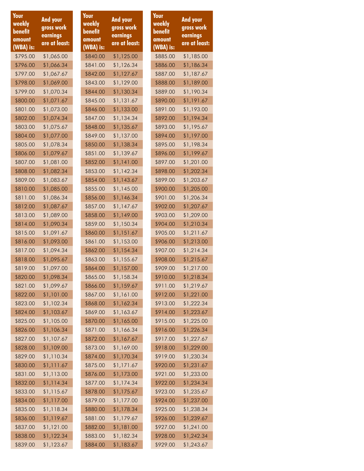| Your<br>weekly<br>benefit<br>amount | And your<br>gross work<br>earnings | Your<br>weekly<br>benefit<br>amount | <b>And your</b><br>gross work<br>earnings | Your<br>weekly<br>benefit<br>amount |
|-------------------------------------|------------------------------------|-------------------------------------|-------------------------------------------|-------------------------------------|
| (WBA) is:                           | are at least:                      | (WBA) is:                           | are at least:                             | (WBA) is:                           |
| \$795.00                            | \$1,065.00                         | \$840.00                            | \$1,125.00                                | \$885.00                            |
| \$796.00                            | \$1,066.34                         | \$841.00                            | \$1,126.34                                | \$886.00                            |
| \$797.00                            | \$1,067.67                         | \$842.00                            | \$1,127.67                                | \$887.00                            |
| \$798.00                            | \$1,069.00                         | \$843.00                            | \$1,129.00                                | \$888.00                            |
| \$799.00                            | \$1,070.34                         | \$844.00                            | \$1,130.34                                | \$889.00                            |
| \$800.00                            | \$1,071.67                         | \$845.00                            | \$1,131.67                                | \$890.00                            |
| \$801.00                            | \$1,073.00                         | \$846.00                            | \$1,133.00                                | \$891.00                            |
| \$802.00                            | \$1,074.34                         | \$847.00                            | \$1,134.34                                | \$892.00                            |
| \$803.00                            | \$1,075.67                         | \$848.00                            | \$1,135.67                                | \$893.00                            |
| \$804.00                            | \$1,077.00                         | \$849.00                            | \$1,137.00                                | \$894.00                            |
| \$805.00                            | \$1,078.34                         | \$850.00                            | \$1,138.34                                | \$895.00                            |
| \$806.00                            | \$1,079.67                         | \$851.00                            | \$1,139.67                                | \$896.00                            |
| \$807.00                            | \$1,081.00                         | \$852.00                            | \$1,141.00                                | \$897.00                            |
| \$808.00                            | \$1,082.34                         | \$853.00                            | \$1,142.34                                | \$898.00                            |
| \$809.00                            | \$1,083.67                         | \$854.00                            | \$1,143.67                                | \$899.00                            |
| \$810.00                            | \$1,085.00                         | \$855.00                            | \$1,145.00                                | \$900.00                            |
| \$811.00                            | \$1,086.34                         | \$856.00                            | \$1,146.34                                | \$901.00                            |
| \$812.00                            | \$1,087.67                         | \$857.00                            | \$1,147.67                                | \$902.00                            |
| \$813.00                            | \$1,089.00                         | \$858.00                            | \$1,149.00                                | \$903.00                            |
| \$814.00                            | \$1,090.34                         | \$859.00                            | \$1,150.34                                | \$904.00                            |
| \$815.00                            | \$1,091.67                         | \$860.00                            | \$1,151.67                                | \$905.00                            |
| \$816.00                            | \$1,093.00                         | \$861.00                            | \$1,153.00                                | \$906.00                            |
| \$817.00                            | \$1,094.34                         | \$862.00                            | \$1,154.34                                | \$907.00                            |
| \$818.00                            | \$1,095.67                         | \$863.00                            | \$1,155.67                                | \$908.00                            |
| \$819.00                            | \$1,097.00                         | \$864.00                            | \$1,157.00                                | \$909.00                            |
| \$820.00                            | \$1,098.34                         | \$865.00                            | \$1,158.34                                | \$910.00                            |
| \$821.00                            | \$1,099.67                         | \$866.00                            | \$1,159.67                                | \$911.00                            |
| \$822.00                            | \$1,101.00                         | \$867.00                            | \$1,161.00                                | \$912.00                            |
| \$823.00                            | \$1,102.34                         | \$868.00                            | \$1,162.34                                | \$913.00                            |
| \$824.00                            | \$1,103.67                         | \$869.00                            | \$1,163.67                                | \$914.00                            |
| \$825.00                            | \$1,105.00                         | \$870.00                            | \$1,165.00                                | \$915.00                            |
| \$826.00                            | \$1,106.34                         | \$871.00                            | \$1,166.34                                | \$916.00                            |
| \$827.00                            | \$1,107.67                         | \$872.00                            | \$1,167.67                                | \$917.00                            |
| \$828.00                            | \$1,109.00                         | \$873.00                            | \$1,169.00                                | \$918.00                            |
| \$829.00                            | \$1,110.34                         | \$874.00                            | \$1,170.34                                | \$919.00                            |
| \$830.00                            | \$1,111.67                         | \$875.00                            | \$1,171.67                                | \$920.00                            |
| \$831.00<br>\$832.00                | \$1,113.00<br>\$1,114.34           | \$876.00<br>\$877.00                | \$1,173.00<br>\$1,174.34                  | \$921.00<br>\$922.00                |
| \$833.00                            | \$1,115.67                         | \$878.00                            | \$1,175.67                                | \$923.00                            |
| \$834.00                            | \$1,117.00                         | \$879.00                            | \$1,177.00                                | \$924.00                            |
| \$835.00                            | \$1,118.34                         | \$880.00                            | \$1,178.34                                | \$925.00                            |
| \$836.00                            | \$1,119.67                         | \$881.00                            | \$1,179.67                                | \$926.00                            |
| \$837.00                            | \$1,121.00                         | \$882.00                            | \$1,181.00                                | \$927.00                            |
| \$838.00                            | \$1,122.34                         | \$883.00                            | \$1,182.34                                | \$928.00                            |
| \$839.00                            | \$1,123.67                         | \$884.00                            | \$1,183.67                                | \$929.00                            |

**And your gross work earnings are at least:**

\$885.00 \$1,185.00 \$1,186.34 \$887.00 \$1,187.67 \$1,189.00 \$1,190.34 \$1,191.67 \$891.00 \$1,193.00 \$892.00 \$1,194.34 \$1,195.67 \$894.00 \$1,197.00 \$1,198.34 \$1,199.67 \$897.00 \$1,201.00 \$1,202.34 \$899.00 \$1,203.67 \$900.00 \$1,205.00 \$1,206.34 \$902.00 \$1,207.67 \$903.00 \$1,209.00 \$904.00 \$1,210.34 \$905.00 \$1,211.67 \$906.00 \$1,213.00 \$907.00 \$1,214.34 \$1,215.67 \$909.00 \$1,217.00 \$1,218.34 \$1,219.67 \$912.00 \$1,221.00 \$913.00 \$1,222.34 \$914.00 \$1,223.67 \$915.00 \$1,225.00 \$1,226.34 \$917.00 \$1,227.67 \$918.00 \$1,229.00 \$919.00 \$1,230.34 \$920.00 \$1,231.67 \$921.00 \$1,233.00 \$922.00 \$1,234.34 \$923.00 \$1,235.67 \$924.00 \$1,237.00 \$925.00 \$1,238.34 \$1,239.67 \$927.00 \$1,241.00 \$928.00 \$1,242.34 \$929.00 \$1,243.67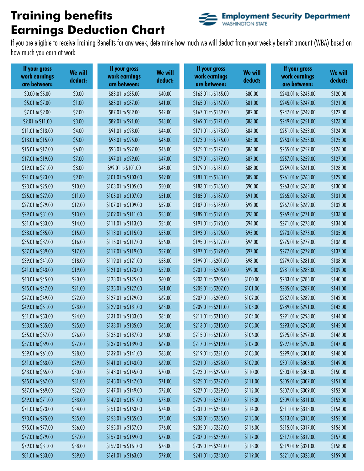# **Training benefits Earnings Deduction Chart**



If you are eligible to receive Training Benefits for any week, determine how much we will deduct from your weekly benefit amount (WBA) based on how much you earn at work.

| If your gross<br>work earnings<br>are between: | <b>We will</b><br>deduct: | If your gross<br>work earnings<br>are between: | We will<br>deduct: | If your gross<br>work earnings<br>are between: | We will<br>deduct: | If your gross<br>work earnings<br>are between: | We will<br>deduct: |
|------------------------------------------------|---------------------------|------------------------------------------------|--------------------|------------------------------------------------|--------------------|------------------------------------------------|--------------------|
| \$0.00 to \$5.00                               | \$0.00                    | \$83.01 to \$85.00                             | \$40.00            | \$163.01 to \$165.00                           | \$80.00            | \$243.01 to \$245.00                           | \$120.00           |
| \$5.01 to \$7.00                               | \$1.00                    | \$85.01 to \$87.00                             | \$41.00            | \$165.01 to \$167.00                           | \$81.00            | \$245.01 to \$247.00                           | \$121.00           |
| \$7.01 to \$9.00                               | \$2.00                    | \$87.01 to \$89.00                             | \$42.00            | \$167.01 to \$169.00                           | \$82.00            | \$247.01 to \$249.00                           | \$122.00           |
| \$9.01 to \$11.00                              | \$3.00                    | \$89.01 to \$91.00                             | \$43.00            | \$169.01 to \$171.00                           | \$83.00            | \$249.01 to \$251.00                           | \$123.00           |
| \$11.01 to \$13.00                             | \$4.00                    | \$91.01 to \$93.00                             | \$44.00            | \$171.01 to \$173.00                           | \$84.00            | \$251.01 to \$253.00                           | \$124.00           |
| \$13.01 to \$15.00                             | \$5.00                    | \$93.01 to \$95.00                             | \$45.00            | \$173.01 to \$175.00                           | \$85.00            | \$253.01 to \$255.00                           | \$125.00           |
| \$15.01 to \$17.00                             | \$6.00                    | \$95.01 to \$97.00                             | \$46.00            | \$175.01 to \$177.00                           | \$86.00            | \$255.01 to \$257.00                           | \$126.00           |
| \$17.01 to \$19.00                             | \$7.00                    | \$97.01 to \$99.00                             | \$47.00            | \$177.01 to \$179.00                           | \$87.00            | \$257.01 to \$259.00                           | \$127.00           |
| \$19.01 to \$21.00                             | \$8.00                    | \$99.01 to \$101.00                            | \$48.00            | \$179.01 to \$181.00                           | \$88.00            | \$259.01 to \$261.00                           | \$128.00           |
| \$21.01 to \$23.00                             | \$9.00                    | \$101.01 to \$103.00                           | \$49.00            | \$181.01 to \$183.00                           | \$89.00            | \$261.01 to \$263.00                           | \$129.00           |
| \$23.01 to \$25.00                             | \$10.00                   | \$103.01 to \$105.00                           | \$50.00            | \$183.01 to \$185.00                           | \$90.00            | \$263.01 to \$265.00                           | \$130.00           |
| \$25.01 to \$27.00                             | \$11.00                   | \$105.01 to \$107.00                           | \$51.00            | \$185.01 to \$187.00                           | \$91.00            | \$265.01 to \$267.00                           | \$131.00           |
| \$27.01 to \$29.00                             | \$12.00                   | \$107.01 to \$109.00                           | \$52.00            | \$187.01 to \$189.00                           | \$92.00            | \$267.01 to \$269.00                           | \$132.00           |
| \$29.01 to \$31.00                             | \$13.00                   | \$109.01 to \$111.00                           | \$53.00            | \$189.01 to \$191.00                           | \$93.00            | \$269.01 to \$271.00                           | \$133.00           |
| \$31.01 to \$33.00                             | \$14.00                   | \$111.01 to \$113.00                           | \$54.00            | \$191.01 to \$193.00                           | \$94.00            | \$271.01 to \$273.00                           | \$134.00           |
| \$33.01 to \$35.00                             | \$15.00                   | \$113.01 to \$115.00                           | \$55.00            | \$193.01 to \$195.00                           | \$95.00            | \$273.01 to \$275.00                           | \$135.00           |
| \$35.01 to \$37.00                             | \$16.00                   | \$115.01 to \$117.00                           | \$56.00            | \$195.01 to \$197.00                           | \$96.00            | \$275.01 to \$277.00                           | \$136.00           |
| \$37.01 to \$39.00                             | \$17.00                   | \$117.01 to \$119.00                           | \$57.00            | \$197.01 to \$199.00                           | \$97.00            | \$277.01 to \$279.00                           | \$137.00           |
| \$39.01 to \$41.00                             | \$18.00                   | \$119.01 to \$121.00                           | \$58.00            | \$199.01 to \$201.00                           | \$98.00            | \$279.01 to \$281.00                           | \$138.00           |
| \$41.01 to \$43.00                             | \$19.00                   | \$121.01 to \$123.00                           | \$59.00            | \$201.01 to \$203.00                           | \$99.00            | \$281.01 to \$283.00                           | \$139.00           |
| \$43.01 to \$45.00                             | \$20.00                   | \$123.01 to \$125.00                           | \$60.00            | \$203.01 to \$205.00                           | \$100.00           | \$283.01 to \$285.00                           | \$140.00           |
| \$45.01 to \$47.00                             | \$21.00                   | \$125.01 to \$127.00                           | \$61.00            | \$205.01 to \$207.00                           | \$101.00           | \$285.01 to \$287.00                           | \$141.00           |
| \$47.01 to \$49.00                             | \$22.00                   | \$127.01 to \$129.00                           | \$62.00            | \$207.01 to \$209.00                           | \$102.00           | \$287.01 to \$289.00                           | \$142.00           |
| \$49.01 to \$51.00                             | \$23.00                   | \$129.01 to \$131.00                           | \$63.00            | \$209.01 to \$211.00                           | \$103.00           | \$289.01 to \$291.00                           | \$143.00           |
| \$51.01 to \$53.00                             | \$24.00                   | \$131.01 to \$133.00                           | \$64.00            | \$211.01 to \$213.00                           | \$104.00           | \$291.01 to \$293.00                           | \$144.00           |
| \$53.01 to \$55.00                             | \$25.00                   | \$133.01 to \$135.00                           | \$65.00            | \$213.01 to \$215.00                           | \$105.00           | \$293.01 to \$295.00                           | \$145.00           |
| \$55.01 to \$57.00                             | \$26.00                   | \$135.01 to \$137.00                           | \$66.00            | \$215.01 to \$217.00                           | \$106.00           | \$295.01 to \$297.00                           | \$146.00           |
| \$57.01 to \$59.00                             | \$27.00                   | \$137.01 to \$139.00                           | \$67.00            | \$217.01 to \$219.00                           | \$107.00           | \$297.01 to \$299.00                           | \$147.00           |
| \$59.01 to \$61.00                             | \$28.00                   | \$139.01 to \$141.00                           | \$68.00            | \$219.01 to \$221.00                           | \$108.00           | \$299.01 to \$301.00                           | \$148.00           |
| \$61.01 to \$63.00                             | \$29.00                   | \$141.01 to \$143.00                           | \$69.00            | \$221.01 to \$223.00                           | \$109.00           | \$301.01 to \$303.00                           | \$149.00           |
| \$63.01 to \$65.00                             | \$30.00                   | \$143.01 to \$145.00                           | \$70.00            | \$223.01 to \$225.00                           | \$110.00           | \$303.01 to \$305.00                           | \$150.00           |
| \$65.01 to \$67.00                             | \$31.00                   | \$145.01 to \$147.00                           | \$71.00            | \$225.01 to \$227.00                           | \$111.00           | \$305.01 to \$307.00                           | \$151.00           |
| \$67.01 to \$69.00                             | \$32.00                   | \$147.01 to \$149.00                           | \$72.00            | \$227.01 to \$229.00                           | \$112.00           | \$307.01 to \$309.00                           | \$152.00           |
| \$69.01 to \$71.00                             | \$33.00                   | \$149.01 to \$151.00                           | \$73.00            | \$229.01 to \$231.00                           | \$113.00           | \$309.01 to \$311.00                           | \$153.00           |
| \$71.01 to \$73.00                             | \$34.00                   | \$151.01 to \$153.00                           | \$74.00            | \$231.01 to \$233.00                           | \$114.00           | \$311.01 to \$313.00                           | \$154.00           |
| \$73.01 to \$75.00                             | \$35.00                   | \$153.01 to \$155.00                           | \$75.00            | \$233.01 to \$235.00                           | \$115.00           | \$313.01 to \$315.00                           | \$155.00           |
| \$75.01 to \$77.00                             | \$36.00                   | \$155.01 to \$157.00                           | \$76.00            | \$235.01 to \$237.00                           | \$116.00           | \$315.01 to \$317.00                           | \$156.00           |
| \$77.01 to \$79.00                             | \$37.00                   | \$157.01 to \$159.00                           | \$77.00            | \$237.01 to \$239.00                           | \$117.00           | \$317.01 to \$319.00                           | \$157.00           |
| \$79.01 to \$81.00                             | \$38.00                   | \$159.01 to \$161.00                           | \$78.00            | \$239.01 to \$241.00                           | \$118.00           | \$319.01 to \$321.00                           | \$158.00           |
| \$81.01 to \$83.00                             | \$39.00                   | \$161.01 to \$163.00                           | \$79.00            | \$241.01 to \$243.00                           | \$119.00           | \$321.01 to \$323.00                           | \$159.00           |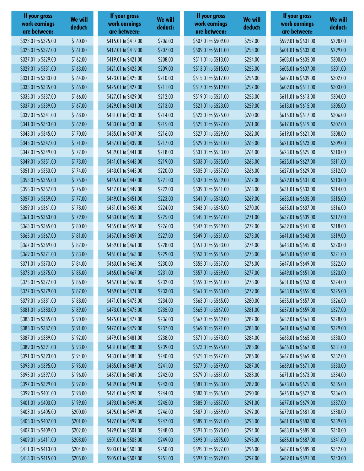| If your gross<br>work earnings<br>are between: | <b>We will</b><br>deduct: | If your gross<br>work earnings<br>are between: | We will<br>deduct: | If your gross<br>work earnings<br>are between: | <b>We will</b><br>deduct: | If your gross<br>work earnings<br>are between: | <b>We will</b><br>deduct: |
|------------------------------------------------|---------------------------|------------------------------------------------|--------------------|------------------------------------------------|---------------------------|------------------------------------------------|---------------------------|
| \$323.01 to \$325.00                           | \$160.00                  | \$415.01 to \$417.00                           | \$206.00           | \$507.01 to \$509.00                           | \$252.00                  | \$599.01 to \$601.00                           | \$298.00                  |
| \$325.01 to \$327.00                           | \$161.00                  | \$417.01 to \$419.00                           | \$207.00           | \$509.01 to \$511.00                           | \$253.00                  | \$601.01 to \$603.00                           | \$299.00                  |
| \$327.01 to \$329.00                           | \$162.00                  | \$419.01 to \$421.00                           | \$208.00           | \$511.01 to \$513.00                           | \$254.00                  | \$603.01 to \$605.00                           | \$300.00                  |
| \$329.01 to \$331.00                           | \$163.00                  | \$421.01 to \$423.00                           | \$209.00           | \$513.01 to \$515.00                           | \$255.00                  | \$605.01 to \$607.00                           | \$301.00                  |
| \$331.01 to \$333.00                           | \$164.00                  | \$423.01 to \$425.00                           | \$210.00           | \$515.01 to \$517.00                           | \$256.00                  | \$607.01 to \$609.00                           | \$302.00                  |
| \$333.01 to \$335.00                           | \$165.00                  | \$425.01 to \$427.00                           | \$211.00           | \$517.01 to \$519.00                           | \$257.00                  | \$609.01 to \$611.00                           | \$303.00                  |
| \$335.01 to \$337.00                           | \$166.00                  | \$427.01 to \$429.00                           | \$212.00           | \$519.01 to \$521.00                           | \$258.00                  | \$611.01 to \$613.00                           | \$304.00                  |
| \$337.01 to \$339.00                           | \$167.00                  | \$429.01 to \$431.00                           | \$213.00           | \$521.01 to \$523.00                           | \$259.00                  | \$613.01 to \$615.00                           | \$305.00                  |
| \$339.01 to \$341.00                           | \$168.00                  | \$431.01 to \$433.00                           | \$214.00           | \$523.01 to \$525.00                           | \$260.00                  | \$615.01 to \$617.00                           | \$306.00                  |
| \$341.01 to \$343.00                           | \$169.00                  | \$433.01 to \$435.00                           | \$215.00           | \$525.01 to \$527.00                           | \$261.00                  | \$617.01 to \$619.00                           | \$307.00                  |
| \$343.01 to \$345.00                           | \$170.00                  | \$435.01 to \$437.00                           | \$216.00           | \$527.01 to \$529.00                           | \$262.00                  | \$619.01 to \$621.00                           | \$308.00                  |
| \$345.01 to \$347.00                           | \$171.00                  | \$437.01 to \$439.00                           | \$217.00           | \$529.01 to \$531.00                           | \$263.00                  | \$621.01 to \$623.00                           | \$309.00                  |
| \$347.01 to \$349.00                           | \$172.00                  | \$439.01 to \$441.00                           | \$218.00           | \$531.01 to \$533.00                           | \$264.00                  | \$623.01 to \$625.00                           | \$310.00                  |
| \$349.01 to \$351.00                           | \$173.00                  | \$441.01 to \$443.00                           | \$219.00           | \$533.01 to \$535.00                           | \$265.00                  | \$625.01 to \$627.00                           | \$311.00                  |
| \$351.01 to \$353.00                           | \$174.00                  | \$443.01 to \$445.00                           | \$220.00           | \$535.01 to \$537.00                           | \$266.00                  | \$627.01 to \$629.00                           | \$312.00                  |
| \$353.01 to \$355.00                           | \$175.00                  | \$445.01 to \$447.00                           | \$221.00           | \$537.01 to \$539.00                           | \$267.00                  | \$629.01 to \$631.00                           | \$313.00                  |
| \$355.01 to \$357.00                           | \$176.00                  | \$447.01 to \$449.00                           | \$222.00           | \$539.01 to \$541.00                           | \$268.00                  | \$631.01 to \$633.00                           | \$314.00                  |
| \$357.01 to \$359.00                           | \$177.00                  | \$449.01 to \$451.00                           | \$223.00           | \$541.01 to \$543.00                           | \$269.00                  | \$633.01 to \$635.00                           | \$315.00                  |
| \$359.01 to \$361.00                           | \$178.00                  | \$451.01 to \$453.00                           | \$224.00           | \$543.01 to \$545.00                           | \$270.00                  | \$635.01 to \$637.00                           | \$316.00                  |
| \$361.01 to \$363.00                           | \$179.00                  | \$453.01 to \$455.00                           | \$225.00           | \$545.01 to \$547.00                           | \$271.00                  | \$637.01 to \$639.00                           | \$317.00                  |
| \$363.01 to \$365.00                           | \$180.00                  | \$455.01 to \$457.00                           | \$226.00           | \$547.01 to \$549.00                           | \$272.00                  | \$639.01 to \$641.00                           | \$318.00                  |
| \$365.01 to \$367.00                           | \$181.00                  | \$457.01 to \$459.00                           | \$227.00           | \$549.01 to \$551.00                           | \$273.00                  | \$641.01 to \$643.00                           | \$319.00                  |
| \$367.01 to \$369.00                           | \$182.00                  | \$459.01 to \$461.00                           | \$228.00           | \$551.01 to \$553.00                           | \$274.00                  | \$643.01 to \$645.00                           | \$320.00                  |
| \$369.01 to \$371.00                           | \$183.00                  | \$461.01 to \$463.00                           | \$229.00           | \$553.01 to \$555.00                           | \$275.00                  | \$645.01 to \$647.00                           | \$321.00                  |
| \$371.01 to \$373.00                           | \$184.00                  | \$463.01 to \$465.00                           | \$230.00           | \$555.01 to \$557.00                           | \$276.00                  | \$647.01 to \$649.00                           | \$322.00                  |
| \$373.01 to \$375.00                           | \$185.00                  | \$465.01 to \$467.00                           | \$231.00           | \$557.01 to \$559.00                           | \$277.00                  | \$649.01 to \$651.00                           | \$323.00                  |
| \$375.01 to \$377.00                           | \$186.00                  | \$467.01 to \$469.00                           | \$232.00           | \$559.01 to \$561.00                           | \$278.00                  | \$651.01 to \$653.00                           | \$324.00                  |
| \$377.01 to \$379.00                           | \$187.00                  | \$469.01 to \$471.00                           | \$233.00           | \$561.01 to \$563.00                           | \$279.00                  | \$653.01 to \$655.00                           | \$325.00                  |
| \$379.01 to \$381.00                           | \$188.00                  | \$471.01 to \$473.00                           | \$234.00           | \$563.01 to \$565.00                           | \$280.00                  | \$655.01 to \$657.00                           | \$326.00                  |
| \$381.01 to \$383.00                           | \$189.00                  | \$473.01 to \$475.00                           | \$235.00           | \$565.01 to \$567.00                           | \$281.00                  | \$657.01 to \$659.00                           | \$327.00                  |
| \$383.01 to \$385.00                           | \$190.00                  | \$475.01 to \$477.00                           | \$236.00           | \$567.01 to \$569.00                           | \$282.00                  | \$659.01 to \$661.00                           | \$328.00                  |
| \$385.01 to \$387.00                           | \$191.00                  | \$477.01 to \$479.00                           | \$237.00           | \$569.01 to \$571.00                           | \$283.00                  | \$661.01 to \$663.00                           | \$329.00                  |
| \$387.01 to \$389.00                           | \$192.00                  | \$479.01 to \$481.00                           | \$238.00           | \$571.01 to \$573.00                           | \$284.00                  | \$663.01 to \$665.00                           | \$330.00                  |
| \$389.01 to \$391.00                           | \$193.00                  | \$481.01 to \$483.00                           | \$239.00           | \$573.01 to \$575.00                           | \$285.00                  | \$665.01 to \$667.00                           | \$331.00                  |
| \$391.01 to \$393.00                           | \$194.00                  | \$483.01 to \$485.00                           | \$240.00           | \$575.01 to \$577.00                           | \$286.00                  | \$667.01 to \$669.00                           | \$332.00                  |
| \$393.01 to \$395.00                           | \$195.00                  | \$485.01 to \$487.00                           | \$241.00           | \$577.01 to \$579.00                           | \$287.00                  | \$669.01 to \$671.00                           | \$333.00                  |
| \$395.01 to \$397.00                           | \$196.00                  | \$487.01 to \$489.00                           | \$242.00           | \$579.01 to \$581.00                           | \$288.00                  | \$671.01 to \$673.00                           | \$334.00                  |
| \$397.01 to \$399.00                           | \$197.00                  | \$489.01 to \$491.00                           | \$243.00           | \$581.01 to \$583.00                           | \$289.00                  | \$673.01 to \$675.00                           | \$335.00                  |
| \$399.01 to \$401.00                           | \$198.00                  | \$491.01 to \$493.00                           | \$244.00           | \$583.01 to \$585.00                           | \$290.00                  | \$675.01 to \$677.00                           | \$336.00                  |
| \$401.01 to \$403.00                           | \$199.00                  | \$493.01 to \$495.00                           | \$245.00           | \$585.01 to \$587.00                           | \$291.00                  | \$677.01 to \$679.00                           | \$337.00                  |
| \$403.01 to \$405.00                           | \$200.00                  | \$495.01 to \$497.00                           | \$246.00           | \$587.01 to \$589.00                           | \$292.00                  | \$679.01 to \$681.00                           | \$338.00                  |
| \$405.01 to \$407.00                           | \$201.00                  | \$497.01 to \$499.00                           | \$247.00           | \$589.01 to \$591.00                           | \$293.00                  | \$681.01 to \$683.00                           | \$339.00                  |
| \$407.01 to \$409.00                           | \$202.00                  | \$499.01 to \$501.00                           | \$248.00           | \$591.01 to \$593.00                           | \$294.00                  | \$683.01 to \$685.00                           | \$340.00                  |
| \$409.01 to \$411.00                           | \$203.00                  | \$501.01 to \$503.00                           | \$249.00           | \$593.01 to \$595.00                           | \$295.00                  | \$685.01 to \$687.00                           | \$341.00                  |
| \$411.01 to \$413.00                           | \$204.00                  | \$503.01 to \$505.00                           | \$250.00           | \$595.01 to \$597.00                           | \$296.00                  | \$687.01 to \$689.00                           | \$342.00                  |
| \$413.01 to \$415.00                           | \$205.00                  | \$505.01 to \$507.00                           | \$251.00           | \$597.01 to \$599.00                           | \$297.00                  | \$689.01 to \$691.00                           | \$343.00                  |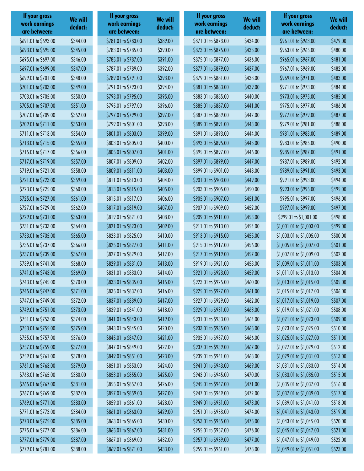| If your gross<br>work earnings<br>are between: | <b>We will</b><br>deduct: | If your gross<br>work earnings<br>are between: | We will<br>deduct: | If your gross<br>work earnings<br>are between: | We will<br>deduct: | If your gross<br>work earnings<br>are between: | We will<br>deduct: |
|------------------------------------------------|---------------------------|------------------------------------------------|--------------------|------------------------------------------------|--------------------|------------------------------------------------|--------------------|
| \$691.01 to \$693.00                           | \$344.00                  | \$781.01 to \$783.00                           | \$389.00           | \$871.01 to \$873.00                           | \$434.00           | \$961.01 to \$963.00                           | \$479.00           |
| \$693.01 to \$695.00                           | \$345.00                  | \$783.01 to \$785.00                           | \$390.00           | \$873.01 to \$875.00                           | \$435.00           | \$963.01 to \$965.00                           | \$480.00           |
| \$695.01 to \$697.00                           | \$346.00                  | \$785.01 to \$787.00                           | \$391.00           | \$875.01 to \$877.00                           | \$436.00           | \$965.01 to \$967.00                           | \$481.00           |
| \$697.01 to \$699.00                           | \$347.00                  | \$787.01 to \$789.00                           | \$392.00           | \$877.01 to \$879.00                           | \$437.00           | \$967.01 to \$969.00                           | \$482.00           |
| \$699.01 to \$701.00                           | \$348.00                  | \$789.01 to \$791.00                           | \$393.00           | \$879.01 to \$881.00                           | \$438.00           | \$969.01 to \$971.00                           | \$483.00           |
| \$701.01 to \$703.00                           | \$349.00                  | \$791.01 to \$793.00                           | \$394.00           | \$881.01 to \$883.00                           | \$439.00           | \$971.01 to \$973.00                           | \$484.00           |
| \$703.01 to \$705.00                           | \$350.00                  | \$793.01 to \$795.00                           | \$395.00           | \$883.01 to \$885.00                           | \$440.00           | \$973.01 to \$975.00                           | \$485.00           |
| \$705.01 to \$707.00                           | \$351.00                  | \$795.01 to \$797.00                           | \$396.00           | \$885.01 to \$887.00                           | \$441.00           | \$975.01 to \$977.00                           | \$486.00           |
| \$707.01 to \$709.00                           | \$352.00                  | \$797.01 to \$799.00                           | \$397.00           | \$887.01 to \$889.00                           | \$442.00           | \$977.01 to \$979.00                           | \$487.00           |
| \$709.01 to \$711.00                           | \$353.00                  | \$799.01 to \$801.00                           | \$398.00           | \$889.01 to \$891.00                           | \$443.00           | \$979.01 to \$981.00                           | \$488.00           |
| \$711.01 to \$713.00                           | \$354.00                  | \$801.01 to \$803.00                           | \$399.00           | \$891.01 to \$893.00                           | \$444.00           | \$981.01 to \$983.00                           | \$489.00           |
| \$713.01 to \$715.00                           | \$355.00                  | \$803.01 to \$805.00                           | \$400.00           | \$893.01 to \$895.00                           | \$445.00           | \$983.01 to \$985.00                           | \$490.00           |
| \$715.01 to \$717.00                           | \$356.00                  | \$805.01 to \$807.00                           | \$401.00           | \$895.01 to \$897.00                           | \$446.00           | \$985.01 to \$987.00                           | \$491.00           |
| \$717.01 to \$719.00                           | \$357.00                  | \$807.01 to \$809.00                           | \$402.00           | \$897.01 to \$899.00                           | \$447.00           | \$987.01 to \$989.00                           | \$492.00           |
| \$719.01 to \$721.00                           | \$358.00                  | \$809.01 to \$811.00                           | \$403.00           | \$899.01 to \$901.00                           | \$448.00           | \$989.01 to \$991.00                           | \$493.00           |
| \$721.01 to \$723.00                           | \$359.00                  | \$811.01 to \$813.00                           | \$404.00           | \$901.01 to \$903.00                           | \$449.00           | \$991.01 to \$993.00                           | \$494.00           |
| \$723.01 to \$725.00                           | \$360.00                  | \$813.01 to \$815.00                           | \$405.00           | \$903.01 to \$905.00                           | \$450.00           | \$993.01 to \$995.00                           | \$495.00           |
| \$725.01 to \$727.00                           | \$361.00                  | \$815.01 to \$817.00                           | \$406.00           | \$905.01 to \$907.00                           | \$451.00           | \$995.01 to \$997.00                           | \$496.00           |
| \$727.01 to \$729.00                           | \$362.00                  | \$817.01 to \$819.00                           | \$407.00           | \$907.01 to \$909.00                           | \$452.00           | \$997.01 to \$999.00                           | \$497.00           |
| \$729.01 to \$731.00                           | \$363.00                  | \$819.01 to \$821.00                           | \$408.00           | \$909.01 to \$911.00                           | \$453.00           | \$999.01 to \$1,001.00                         | \$498.00           |
| \$731.01 to \$733.00                           | \$364.00                  | \$821.01 to \$823.00                           | \$409.00           | \$911.01 to \$913.00                           | \$454.00           | \$1,001.01 to \$1,003.00                       | \$499.00           |
| \$733.01 to \$735.00                           | \$365.00                  | \$823.01 to \$825.00                           | \$410.00           | \$913.01 to \$915.00                           | \$455.00           | \$1,003.01 to \$1,005.00                       | \$500.00           |
| \$735.01 to \$737.00                           | \$366.00                  | \$825.01 to \$827.00                           | \$411.00           | \$915.01 to \$917.00                           | \$456.00           | \$1,005.01 to \$1,007.00                       | \$501.00           |
| \$737.01 to \$739.00                           | \$367.00                  | \$827.01 to \$829.00                           | \$412.00           | \$917.01 to \$919.00                           | \$457.00           | \$1,007.01 to \$1,009.00                       | \$502.00           |
| \$739.01 to \$741.00                           | \$368.00                  | \$829.01 to \$831.00                           | \$413.00           | \$919.01 to \$921.00                           | \$458.00           | \$1,009.01 to \$1,011.00                       | \$503.00           |
| \$741.01 to \$743.00                           | \$369.00                  | \$831.01 to \$833.00                           | \$414.00           | \$921.01 to \$923.00                           | \$459.00           | \$1,011.01 to \$1,013.00                       | \$504.00           |
| \$743.01 to \$745.00                           | \$370.00                  | \$833.01 to \$835.00                           | \$415.00           | \$923.01 to \$925.00                           | \$460.00           | \$1,013.01 to \$1,015.00                       | \$505.00           |
| \$745.01 to \$747.00                           | \$371.00                  | \$835.01 to \$837.00                           | \$416.00           | \$925.01 to \$927.00                           | \$461.00           | \$1,015.01 to \$1,017.00                       | \$506.00           |
| \$747.01 to \$749.00                           | \$372.00                  | \$837.01 to \$839.00                           | \$417.00           | \$927.01 to \$929.00                           | \$462.00           | \$1,017.01 to \$1,019.00                       | \$507.00           |
| \$749.01 to \$751.00                           | \$373.00                  | \$839.01 to \$841.00                           | \$418.00           | \$929.01 to \$931.00                           | \$463.00           | \$1,019.01 to \$1,021.00                       | \$508.00           |
| \$751.01 to \$753.00                           | \$374.00                  | \$841.01 to \$843.00                           | \$419.00           | \$931.01 to \$933.00                           | \$464.00           | \$1,021.01 to \$1,023.00                       | \$509.00           |
| \$753.01 to \$755.00                           | \$375.00                  | \$843.01 to \$845.00                           | \$420.00           | \$933.01 to \$935.00                           | \$465.00           | \$1,023.01 to \$1,025.00                       | \$510.00           |
| \$755.01 to \$757.00                           | \$376.00                  | \$845.01 to \$847.00                           | \$421.00           | \$935.01 to \$937.00                           | \$466.00           | \$1,025.01 to \$1,027.00                       | \$511.00           |
| \$757.01 to \$759.00                           | \$377.00                  | \$847.01 to \$849.00                           | \$422.00           | \$937.01 to \$939.00                           | \$467.00           | \$1,027.01 to \$1,029.00                       | \$512.00           |
| \$759.01 to \$761.00                           | \$378.00                  | \$849.01 to \$851.00                           | \$423.00           | \$939.01 to \$941.00                           | \$468.00           | \$1,029.01 to \$1,031.00                       | \$513.00           |
| \$761.01 to \$763.00                           | \$379.00                  | \$851.01 to \$853.00                           | \$424.00           | \$941.01 to \$943.00                           | \$469.00           | \$1,031.01 to \$1,033.00                       | \$514.00           |
| \$763.01 to \$765.00                           | \$380.00                  | \$853.01 to \$855.00                           | \$425.00           | \$943.01 to \$945.00                           | \$470.00           | \$1,033.01 to \$1,035.00                       | \$515.00           |
| \$765.01 to \$767.00                           | \$381.00                  | \$855.01 to \$857.00                           | \$426.00           | \$945.01 to \$947.00                           | \$471.00           | \$1,035.01 to \$1,037.00                       | \$516.00           |
| \$767.01 to \$769.00                           | \$382.00                  | \$857.01 to \$859.00                           | \$427.00           | \$947.01 to \$949.00                           | \$472.00           | \$1,037.01 to \$1,039.00                       | \$517.00           |
| \$769.01 to \$771.00                           | \$383.00                  | \$859.01 to \$861.00                           | \$428.00           | \$949.01 to \$951.00                           | \$473.00           | \$1,039.01 to \$1,041.00                       | \$518.00           |
| \$771.01 to \$773.00                           | \$384.00                  | \$861.01 to \$863.00                           | \$429.00           | \$951.01 to \$953.00                           | \$474.00           | \$1,041.01 to \$1,043.00                       | \$519.00           |
| \$773.01 to \$775.00                           | \$385.00                  | \$863.01 to \$865.00                           | \$430.00           | \$953.01 to \$955.00                           | \$475.00           | \$1,043.01 to \$1,045.00                       | \$520.00           |
| \$775.01 to \$777.00                           | \$386.00                  | \$865.01 to \$867.00                           | \$431.00           | \$955.01 to \$957.00                           | \$476.00           | \$1,045.01 to \$1,047.00                       | \$521.00           |
| \$777.01 to \$779.00                           | \$387.00                  | \$867.01 to \$869.00                           | \$432.00           | \$957.01 to \$959.00                           | \$477.00           | \$1,047.01 to \$1,049.00                       | \$522.00           |
| \$779.01 to \$781.00                           | \$388.00                  | \$869.01 to \$871.00                           | \$433.00           | \$959.01 to \$961.00                           | \$478.00           | \$1,049.01 to \$1,051.00                       | \$523.00           |